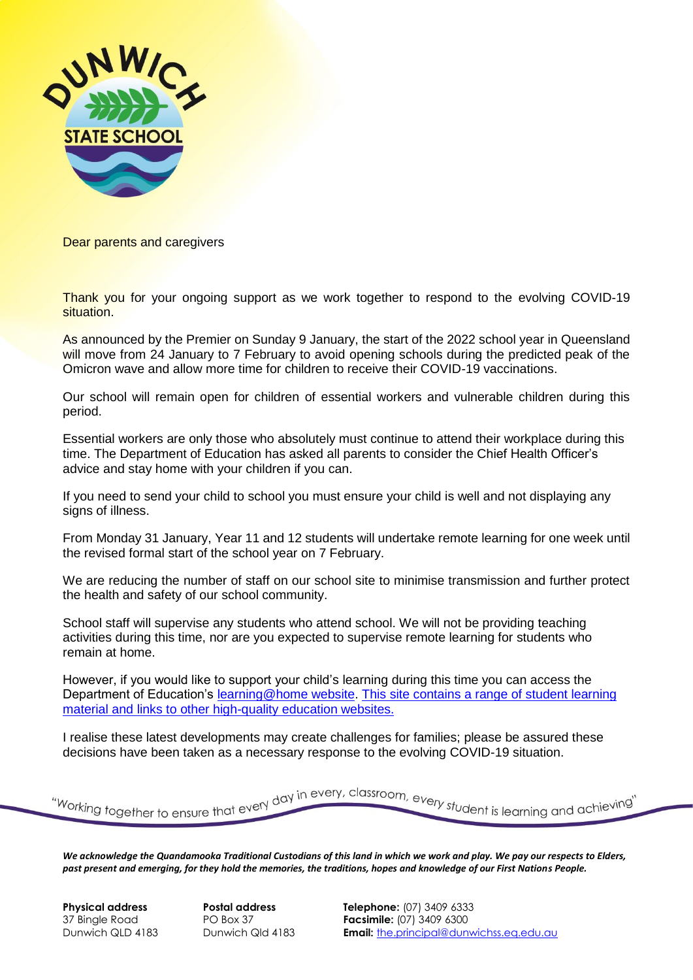

Dear parents and caregivers

Thank you for your ongoing support as we work together to respond to the evolving COVID-19 situation.

As announced by the Premier on Sunday 9 January, the start of the 2022 school year in Queensland will move from 24 January to 7 February to avoid opening schools during the predicted peak of the Omicron wave and allow more time for children to receive their COVID-19 vaccinations.

Our school will remain open for children of essential workers and vulnerable children during this period.

Essential workers are only those who absolutely must continue to attend their workplace during this time. The Department of Education has asked all parents to consider the Chief Health Officer's advice and stay home with your children if you can.

If you need to send your child to school you must ensure your child is well and not displaying any signs of illness.

From Monday 31 January, Year 11 and 12 students will undertake remote learning for one week until the revised formal start of the school year on 7 February.

We are reducing the number of staff on our school site to minimise transmission and further protect the health and safety of our school community.

School staff will supervise any students who attend school. We will not be providing teaching activities during this time, nor are you expected to supervise remote learning for students who remain at home.

However, if you would like to support your child's learning during this time you can access the Department of Education's [learning@home website.](https://education.qld.gov.au/curriculum/learning-at-home) This site contains a range of student learning material and links to other high-quality education websites.

I realise these latest developments may create challenges for families; please be assured these decisions have been taken as a necessary response to the evolving COVID-19 situation.

"Working together to ensure that every day in every, classroom, every student is learning and achieving"

*We acknowledge the Quandamooka Traditional Custodians of this land in which we work and play. We pay our respects to Elders, past present and emerging, for they hold the memories, the traditions, hopes and knowledge of our First Nations People.* 

**Physical address Postal address Telephone:** (07) 3409 6333 37 Bingle Road PO Box 37 **Facsimile:** (07) 3409 6300 Dunwich QLD 4183 Dunwich Qld 4183 **Email:** [the.principal@dunwichss.eq.edu.au](mailto:the.principal@dunwichss.eq.edu.au)